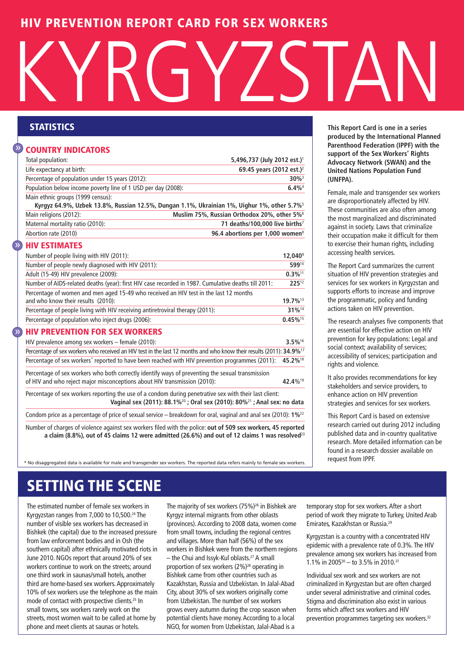## **HIV PREVENTION REPORT CARD FOR SEX WORKERS**

# KYRGYZSTAN

#### **COUNTRY INDICATORS** »

| Life expectancy at birth:<br>Percentage of population under 15 years (2012):<br>Population below income poverty line of 1 USD per day (2008):<br>Main ethnic groups (1999 census):<br>Kyrgyz 64.9%, Uzbek 13.8%, Russian 12.5%, Dungan 1.1%, Ukrainian 1%, Uighur 1%, other 5.7% <sup>5</sup><br>Main religions (2012):<br>Maternal mortality ratio (2010):<br>Abortion rate (2010) | Total population: | 5,496,737 (July 2012 est.) <sup>1</sup>                 |
|-------------------------------------------------------------------------------------------------------------------------------------------------------------------------------------------------------------------------------------------------------------------------------------------------------------------------------------------------------------------------------------|-------------------|---------------------------------------------------------|
|                                                                                                                                                                                                                                                                                                                                                                                     |                   | 69.45 years (2012 est.) <sup>2</sup>                    |
|                                                                                                                                                                                                                                                                                                                                                                                     |                   | $30\%$ <sup>3</sup>                                     |
|                                                                                                                                                                                                                                                                                                                                                                                     |                   | $6.4\%$ <sup>4</sup>                                    |
|                                                                                                                                                                                                                                                                                                                                                                                     |                   |                                                         |
|                                                                                                                                                                                                                                                                                                                                                                                     |                   | Muslim 75%, Russian Orthodox 20%, other 5% <sup>6</sup> |
|                                                                                                                                                                                                                                                                                                                                                                                     |                   | 71 deaths/100,000 live births <sup>7</sup>              |
|                                                                                                                                                                                                                                                                                                                                                                                     |                   | 96.4 abortions per 1,000 women <sup>8</sup>             |

#### **HIV ESTIMATES**  $\sum_{i=1}^{n}$

| Number of people living with HIV (2011):                                                                                    | 12.040 <sup>s</sup>    |
|-----------------------------------------------------------------------------------------------------------------------------|------------------------|
| Number of people newly diagnosed with HIV (2011):                                                                           | 59910                  |
| Adult (15-49) HIV prevalence (2009):                                                                                        | $0.3\%$ <sup>11</sup>  |
| Number of AIDS-related deaths (year): first HIV case recorded in 1987. Cumulative deaths till 2011:                         | 22512                  |
| Percentage of women and men aged 15-49 who received an HIV test in the last 12 months<br>and who know their results (2010): |                        |
| Percentage of people living with HIV receiving antiretroviral therapy (2011):                                               | 31%14                  |
| Percentage of population who inject drugs (2006):                                                                           | $0.45\%$ <sup>15</sup> |
|                                                                                                                             |                        |

#### **HIV PREVENTION FOR SEX WORKERS**  $\hat{y}$

| HIV prevalence among sex workers $-$ female (2010):                                                                                                                                                                         | 3.5%16              |
|-----------------------------------------------------------------------------------------------------------------------------------------------------------------------------------------------------------------------------|---------------------|
| Percentage of sex workers who received an HIV test in the last 12 months and who know their results (2011): 34.9% <sup>17</sup>                                                                                             |                     |
| Percentage of sex workers <sup>*</sup> reported to have been reached with HIV prevention programmes (2011):                                                                                                                 | 45.2% <sup>18</sup> |
| Percentage of sex workers who both correctly identify ways of preventing the sexual transmission<br>of HIV and who reject major misconceptions about HIV transmission (2010):                                               | 42.4% <sup>19</sup> |
| Percentage of sex workers reporting the use of a condom during penetrative sex with their last client:<br>Vaginal sex (2011): 88.1% <sup>20</sup> ; Oral sex (2010): 80% <sup>21</sup> ; Anal sex: no data                  |                     |
| Condom price as a percentage of price of sexual service – breakdown for oral, vaginal and anal sex (2010): $1\%^{22}$                                                                                                       |                     |
| Number of charges of violence against sex workers filed with the police: out of 509 sex workers, 45 reported<br>a claim (8.8%), out of 45 claims 12 were admitted (26.6%) and out of 12 claims 1 was resolved <sup>23</sup> |                     |

\* No disaggregated data is available for male and transgender sex workers. The reported data refers mainly to female sex workers.

**STATISTICS This Report Card is one in a series produced by the International Planned Parenthood Federation (IPPF) with the support of the Sex Workers' Rights Advocacy Network (SWAN) and the United Nations Population Fund (UNFPA).**

> Female, male and transgender sex workers are disproportionately affected by HIV. These communities are also often among the most marginalized and discriminated against in society. Laws that criminalize their occupation make it difficult for them to exercise their human rights, including accessing health services.

> The Report Card summarizes the current situation of HIV prevention strategies and services for sex workers in Kyrgyzstan and supports efforts to increase and improve the programmatic, policy and funding actions taken on HIV prevention.

The research analyses five components that are essential for effective action on HIV prevention for key populations: Legal and social context; availability of services; accessibility of services; participation and rights and violence.

It also provides recommendations for key stakeholders and service providers, to enhance action on HIV prevention strategies and services for sex workers.

This Report Card is based on extensive research carried out during 2012 including published data and in-country qualitative research. More detailed information can be found in a research dossier available on request from IPPF.

# **SETTING THE SCENE**

The estimated number of female sex workers in Kyrgyzstan ranges from 7,000 to 10,500. <sup>24</sup> The number of visible sex workers has decreased in Bishkek (the capital) due to the increased pressure from law enforcement bodies and in Osh (the southern capital) after ethnically motivated riots in June 2010. NGOs report that around 20% of sex workers continue to work on the streets; around one third work in saunas/small hotels, another third are home-based sex workers. Approximately 10% of sex workers use the telephone as the main mode of contact with prospective clients. <sup>25</sup> In small towns, sex workers rarely work on the streets, most women wait to be called at home by phone and meet clients at saunas or hotels.

The majority of sex workers (75%) <sup>26</sup> in Bishkek are Kyrgyz internal migrants from other oblasts (provinces).According to 2008 data, women come from small towns, including the regional centres and villages. More than half (56%) of the sex workers in Bishkek were from the northern regions – the Chui and Issyk-Kul oblasts. <sup>27</sup> A small proportion of sex workers (2%) <sup>28</sup> operating in Bishkek came from other countries such as Kazakhstan, Russia and Uzbekistan. In Jalal-Abad City, about 30% of sex workers originally come from Uzbekistan. The number of sex workers grows every autumn during the crop season when potential clients have money.According to a local NGO, for women from Uzbekistan, Jalal-Abad is a

temporary stop for sex workers.After a short period of work they migrate to Turkey, United Arab Emirates, Kazakhstan or Russia.<sup>29</sup>

Kyrgyzstan is a country with a concentrated HIV epidemic with a prevalence rate of 0.3%. The HIV prevalence among sex workers has increased from 1.1% in 2005<sup>30</sup> – to 3.5% in 2010.<sup>31</sup>

Individual sex work and sex workers are not criminalized in Kyrgyzstan but are often charged under several administrative and criminal codes. Stigma and discrimination also exist in various forms which affect sex workers and HIV prevention programmes targeting sex workers.<sup>32</sup>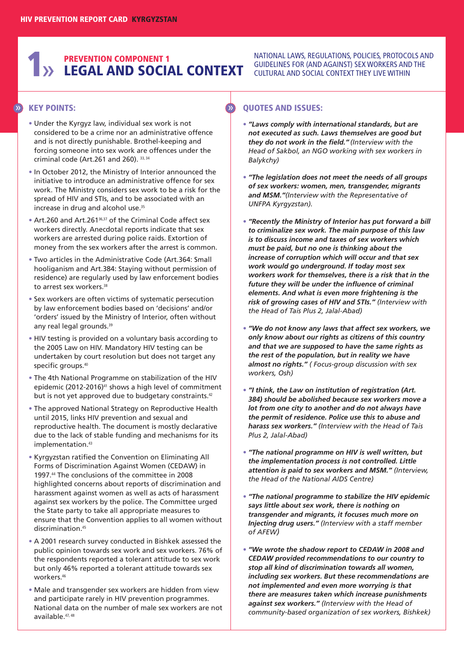# **1** AND **SOCIAL CONTEXT** SULTURAL AND SOCIAL **AND SOCIAL CONTEXT** SULTURAL AND SOCIAL CONTEXT THEY LIVE WITHIN **PREVENTION COMPONENT 1**

**KEY POINTS:** » »

- **•** Under the Kyrgyz law, individual sex work is not considered to be a crime nor an administrative offence and is not directly punishable. Brothel-keeping and forcing someone into sex work are offences under the criminal code (Art.261 and 260). 33, <sup>34</sup>
- **•** In October 2012, the Ministry of Interior announced the initiative to introduce an administrative offence for sex work. The Ministry considers sex work to be a risk for the spread of HIV and STIs, and to be associated with an increase in drug and alcohol use. 35
- **•** Art.260 and Art.26136,37 of the Criminal Code affect sex workers directly. Anecdotal reports indicate that sex workers are arrested during police raids. Extortion of money from the sex workers after the arrest is common.
- **•** Two articles in the Administrative Code (Art.364: Small hooliganism and Art.384: Staying without permission of residence) are regularly used by law enforcement bodies to arrest sex workers. 38
- **•** Sex workers are often victims of systematic persecution by law enforcement bodies based on 'decisions' and/or 'orders' issued by the Ministry of Interior, often without any real legal grounds.<sup>39</sup>
- **•** HIV testing is provided on a voluntary basis according to the 2005 Law on HIV. Mandatory HIV testing can be undertaken by court resolution but does not target any specific groups. 40
- **•** The 4th National Programme on stabilization of the HIV epidemic (2012-2016)<sup>41</sup> shows a high level of commitment but is not yet approved due to budgetary constraints.<sup>42</sup>
- **•** The approved National Strategy on Reproductive Health until 2015, links HIV prevention and sexual and reproductive health. The document is mostly declarative due to the lack of stable funding and mechanisms for its implementation. 43
- **•** Kyrgyzstan ratified the Convention on Eliminating All Forms of Discrimination Against Women (CEDAW) in 1997. <sup>44</sup> The conclusions of the committee in 2008 highlighted concerns about reports of discrimination and harassment against women as well as acts of harassment against sex workers by the police. The Committee urged the State party to take all appropriate measures to ensure that the Convention applies to all women without discrimination. 45
- **•** A 2001 research survey conducted in Bishkek assessed the public opinion towards sex work and sex workers. 76% of the respondents reported a tolerant attitude to sex work but only 46% reported a tolerant attitude towards sex workers. 46
- **•** Male and transgender sex workers are hidden from view and participate rarely in HIV prevention programmes. National data on the number of male sex workers are not available. 47, 48

NATIONAL LAWS, REGULATIONS, POLICIES, PROTOCOLS AND CULTURAL AND SOCIAL CONTEXT THEY LIVE WITHIN

- **•** *"Laws comply with international standards, but are not executed as such. Laws themselves are good but they do not work in the field." (Interview with the Head of Sakbol, an NGO working with sex workers in Balykchy)*
- **•** *"The legislation does not meet the needs of all groups of sex workers: women, men, transgender, migrants and MSM."(Interview with the Representative of UNFPA Kyrgyzstan).*
- **•** *"Recently the Ministry of Interior has put forward a bill to criminalize sex work. The main purpose of this law is to discuss income and taxes of sex workers which must be paid, but no one is thinking about the increase of corruption which will occur and that sex work would go underground. If today most sex workers work for themselves, there is a risk that in the future they will be under the influence of criminal elements. And what is even more frightening is the risk of growing cases of HIV and STIs." (Interview with the Head of Tais Plus 2, Jalal-Abad)*
- **•** *"We do not know any laws that affect sex workers, we only know about our rights as citizens of this country and that we are supposed to have the same rights as the rest of the population, but in reality we have almost no rights." ( Focus-group discussion with sex workers, Osh)*
- **•** *"I think, the Law on institution of registration (Art. 384) should be abolished because sex workers move a lot from one city to another and do not always have the permit of residence. Police use this to abuse and harass sex workers." (Interview with the Head of Tais Plus 2, Jalal-Abad)*
- **•** *"The national programme on HIV is well written, but the implementation process is not controlled. Little attention is paid to sex workers and MSM." (Interview, the Head of the National AIDS Centre)*
- **•** *"The national programme to stabilize the HIV epidemic says little about sex work, there is nothing on transgender and migrants, it focuses much more on Injecting drug users." (Interview with a staff member of AFEW)*
- **•** *"We wrote the shadow report to CEDAW in 2008 and CEDAW provided recommendations to our country to stop all kind of discrimination towards all women, including sex workers. But these recommendations are not implemented and even more worrying is that there are measures taken which increase punishments against sex workers." (Interview with the Head of community-based organization of sex workers, Bishkek)*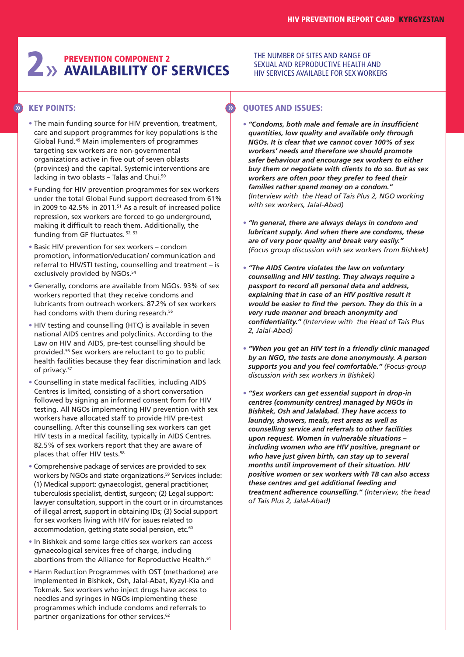# **2** >> **AVAILABILITY OF AVAILABILITY OF SERVICES**

#### THE NUMBER OF SITES AND RANGE OF SEXUAL AND REPRODUCTIVE HEALTH AND HIV SERVICES AVAILABLE FOR SEX WORKERS

## **KEY POINTS:** » »

- **•** The main funding source for HIV prevention, treatment, care and support programmes for key populations is the Global Fund. <sup>49</sup> Main implementers of programmes targeting sex workers are non-governmental organizations active in five out of seven oblasts (provinces) and the capital. Systemic interventions are lacking in two oblasts - Talas and Chui.<sup>50</sup>
- **•** Funding for HIV prevention programmes for sex workers under the total Global Fund support decreased from 61% in 2009 to 42.5% in 2011. <sup>51</sup> As a result of increased police repression, sex workers are forced to go underground, making it difficult to reach them. Additionally, the funding from GF fluctuates. 52, <sup>53</sup>
- **•** Basic HIV prevention for sex workers condom promotion, information/education/ communication and referral to HIV/STI testing, counselling and treatment – is exclusively provided by NGOs. 54
- **•** Generally, condoms are available from NGOs. 93% of sex workers reported that they receive condoms and lubricants from outreach workers. 87.2% of sex workers had condoms with them during research.<sup>55</sup>
- **•** HIV testing and counselling (HTC) is available in seven national AIDS centres and polyclinics. According to the Law on HIV and AIDS, pre-test counselling should be provided. <sup>56</sup> Sex workers are reluctant to go to public health facilities because they fear discrimination and lack of privacy. 57
- **•** Counselling in state medical facilities, including AIDS Centres is limited, consisting of a short conversation followed by signing an informed consent form for HIV testing. All NGOs implementing HIV prevention with sex workers have allocated staff to provide HIV pre-test counselling. After this counselling sex workers can get HIV tests in a medical facility, typically in AIDS Centres. 82.5% of sex workers report that they are aware of places that offer HIV tests. 58
- **•** Comprehensive package of services are provided to sex workers by NGOs and state organizations. <sup>59</sup> Services include: (1) Medical support: gynaecologist, general practitioner, tuberculosis specialist, dentist, surgeon; (2) Legal support: lawyer consultation, support in the court or in circumstances of illegal arrest, support in obtaining IDs; (3) Social support for sex workers living with HIV for issues related to accommodation, getting state social pension, etc.<sup>60</sup>
- **•** In Bishkek and some large cities sex workers can access gynaecological services free of charge, including abortions from the Alliance for Reproductive Health. 61
- **•** Harm Reduction Programmes with OST (methadone) are implemented in Bishkek, Osh, Jalal-Abat, Kyzyl-Kia and Tokmak. Sex workers who inject drugs have access to needles and syringes in NGOs implementing these programmes which include condoms and referrals to partner organizations for other services. 62

- **•** *"Condoms, both male and female are in insufficient quantities, low quality and available only through NGOs. It is clear that we cannot cover 100% of sex workers' needs and therefore we should promote safer behaviour and encourage sex workers to either buy them or negotiate with clients to do so. But as sex workers are often poor they prefer to feed their families rather spend money on a condom." (Interview with the Head of Tais Plus 2, NGO working with sex workers, Jalal-Abad)*
- **•** *"In general, there are always delays in condom and lubricant supply. And when there are condoms, these are of very poor quality and break very easily." (Focus group discussion with sex workers from Bishkek)*
- **•** *"The AIDS Centre violates the law on voluntary counselling and HIV testing. They always require a passport to record all personal data and address, explaining that in case of an HIV positive result it would be easier to find the person. They do this in a very rude manner and breach anonymity and confidentiality." (Interview with the Head of Tais Plus 2, Jalal-Abad)*
- **•** *"When you get an HIV test in a friendly clinic managed by an NGO, the tests are done anonymously. A person supports you and you feel comfortable." (Focus-group discussion with sex workers in Bishkek)*
- **•** *"Sex workers can get essential support in drop-in centres (community centres) managed by NGOs in Bishkek, Osh and Jalalabad. They have access to laundry, showers, meals, rest areas as well as counselling service and referrals to other facilities upon request. Women in vulnerable situations – including women who are HIV positive, pregnant or who have just given birth, can stay up to several months until improvement of their situation. HIV positive women or sex workers with TB can also access these centres and get additional feeding and treatment adherence counselling." (Interview, the head of Tais Plus 2, Jalal-Abad)*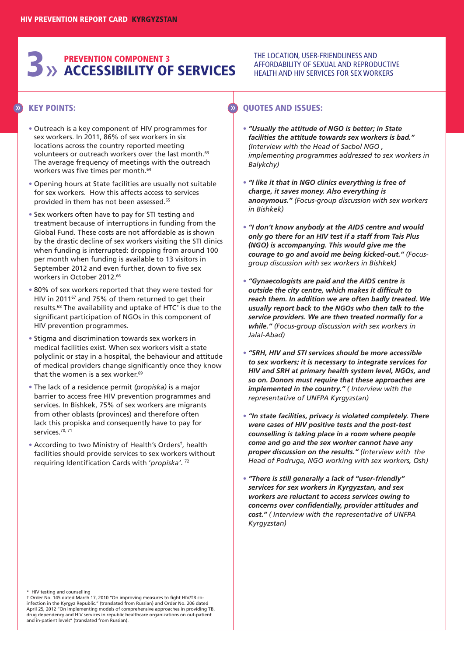# **3**» **ACCESSIBILITY OF SERVICES PREVENTION COMPONENT 3**

## **KEY POINTS:** » »

- **•** Outreach is a key component of HIV programmes for sex workers. In 2011, 86% of sex workers in six locations across the country reported meeting volunteers or outreach workers over the last month. 63 The average frequency of meetings with the outreach workers was five times per month. 64
- **•** Opening hours at State facilities are usually not suitable for sex workers. How this affects access to services provided in them has not been assessed. 65
- **•** Sex workers often have to pay for STI testing and treatment because of interruptions in funding from the Global Fund. These costs are not affordable as is shown by the drastic decline of sex workers visiting the STI clinics when funding is interrupted: dropping from around 100 per month when funding is available to 13 visitors in September 2012 and even further, down to five sex workers in October 2012. 66
- **•** 80% of sex workers reported that they were tested for HIV in 2011<sup>67</sup> and 75% of them returned to get their results. <sup>68</sup> The availability and uptake of HTC\* is due to the significant participation of NGOs in this component of HIV prevention programmes.
- **•** Stigma and discrimination towards sex workers in medical facilities exist. When sex workers visit a state polyclinic or stay in a hospital, the behaviour and attitude of medical providers change significantly once they know that the women is a sex worker. 69
- **•** The lack of a residence permit *(propiska)* is a major barrier to access free HIV prevention programmes and services. In Bishkek, 75% of sex workers are migrants from other oblasts (provinces) and therefore often lack this propiska and consequently have to pay for services. 70, 71
- **•** According to two Ministry of Health's Orders†, health facilities should provide services to sex workers without requiring Identification Cards with '*propiska'*. <sup>72</sup>

## **QUOTES AND ISSUES:**

**•** *"Usually the attitude of NGO is better; in State facilities the attitude towards sex workers is bad." (Interview with the Head of Sacbol NGO , implementing programmes addressed to sex workers in Balykchy)*

THE LOCATION, USER-FRIENDLINESS AND AFFORDABILITY OF SEXUAL AND REPRODUCTIVE HEALTH AND HIV SERVICES FOR SEX WORKERS

- **•** *"I like it that in NGO clinics everything is free of charge, it saves money. Also everything is anonymous." (Focus-group discussion with sex workers in Bishkek)*
- **•** *"I don't know anybody at the AIDS centre and would only go there for an HIV test if a staff from Tais Plus (NGO) is accompanying. This would give me the courage to go and avoid me being kicked-out." (Focusgroup discussion with sex workers in Bishkek)*
- **•** *"Gynaecologists are paid and the AIDS centre is outside the city centre, which makes it difficult to reach them. In addition we are often badly treated. We usually report back to the NGOs who then talk to the service providers. We are then treated normally for a while." (Focus-group discussion with sex workers in Jalal-Abad)*
- **•** *"SRH, HIV and STI services should be more accessible to sex workers; it is necessary to integrate services for HIV and SRH at primary health system level, NGOs, and so on. Donors must require that these approaches are implemented in the country." ( Interview with the representative of UNFPA Kyrgyzstan)*
- **•** *"In state facilities, privacy is violated completely. There were cases of HIV positive tests and the post-test counselling is taking place in a room where people come and go and the sex worker cannot have any proper discussion on the results." (Interview with the Head of Podruga, NGO working with sex workers, Osh)*
- **•** *"There is still generally a lack of "user-friendly" services for sex workers in Kyrgyzstan, and sex workers are reluctant to access services owing to concerns over confidentially, provider attitudes and cost." ( Interview with the representative of UNFPA Kyrgyzstan)*

\* HIV testing and counselling<br>† Order No. 145 dated March 17, 2010 "On improving measures to fight HIV/TB co-<br>infection in the Kyrgyz Republic." (translated from Russian) and Order No. 206 dated April 25, 2012 ''On implementing models of comprehensive approaches in providing TB, drug dependency and HIV services in republic healthcare organizations on out-patient and in-patient levels'' (translated from Russian).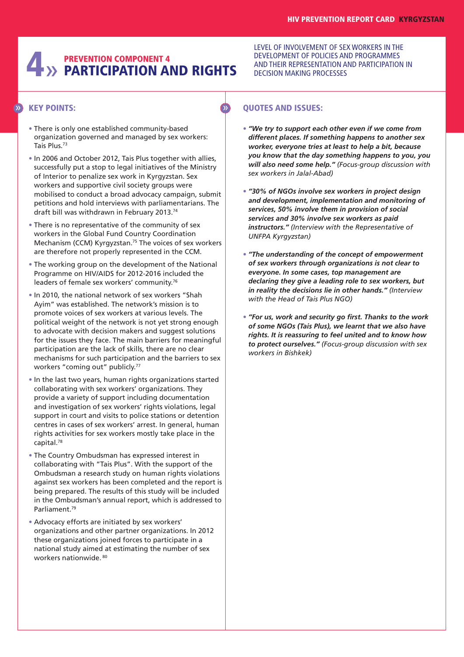# **4**» **PARTICIPATION AND RIGHTS PREVENTION COMPONENT 4**

## **KEY POINTS:** » »

- **•** There is only one established community-based organization governed and managed by sex workers: Tais Plus. 73
- **•** In 2006 and October 2012, Tais Plus together with allies, successfully put a stop to legal initiatives of the Ministry of Interior to penalize sex work in Kyrgyzstan. Sex workers and supportive civil society groups were mobilised to conduct a broad advocacy campaign, submit petitions and hold interviews with parliamentarians. The draft bill was withdrawn in February 2013. 74
- **•** There is no representative of the community of sex workers in the Global Fund Country Coordination Mechanism (CCM) Kyrgyzstan. <sup>75</sup> The voices of sex workers are therefore not properly represented in the CCM.
- **•** The working group on the development of the National Programme on HIV/AIDS for 2012-2016 included the leaders of female sex workers' community.<sup>76</sup>
- **•** In 2010, the national network of sex workers "Shah Ayim" was established. The network's mission is to promote voices of sex workers at various levels. The political weight of the network is not yet strong enough to advocate with decision makers and suggest solutions for the issues they face. The main barriers for meaningful participation are the lack of skills, there are no clear mechanisms for such participation and the barriers to sex workers "coming out" publicly. 77
- **•** In the last two years, human rights organizations started collaborating with sex workers' organizations. They provide a variety of support including documentation and investigation of sex workers' rights violations, legal support in court and visits to police stations or detention centres in cases of sex workers' arrest. In general, human rights activities for sex workers mostly take place in the capital. 78
- **•** The Country Ombudsman has expressed interest in collaborating with "Tais Plus". With the support of the Ombudsman a research study on human rights violations against sex workers has been completed and the report is being prepared. The results of this study will be included in the Ombudsman's annual report, which is addressed to Parliament. 79
- **•** Advocacy efforts are initiated by sex workers' organizations and other partner organizations. In 2012 these organizations joined forces to participate in a national study aimed at estimating the number of sex workers nationwide. <sup>80</sup>

LEVEL OF INVOLVEMENT OF SEX WORKERS IN THE DEVELOPMENT OF POLICIES AND PROGRAMMES AND THEIR REPRESENTATION AND PARTICIPATION IN DECISION MAKING PROCESSES

- **•** *"We try to support each other even if we come from different places. If something happens to another sex worker, everyone tries at least to help a bit, because you know that the day something happens to you, you will also need some help." (Focus-group discussion with sex workers in Jalal-Abad)*
- **•** *"30% of NGOs involve sex workers in project design and development, implementation and monitoring of services, 50% involve them in provision of social services and 30% involve sex workers as paid instructors." (Interview with the Representative of UNFPA Kyrgyzstan)*
- **•** *"The understanding of the concept of empowerment of sex workers through organizations is not clear to everyone. In some cases, top management are declaring they give a leading role to sex workers, but in reality the decisions lie in other hands." (Interview with the Head of Tais Plus NGO)*
- **•** *"For us, work and security go first. Thanks to the work of some NGOs (Tais Plus), we learnt that we also have rights. It is reassuring to feel united and to know how to protect ourselves." (Focus-group discussion with sex workers in Bishkek)*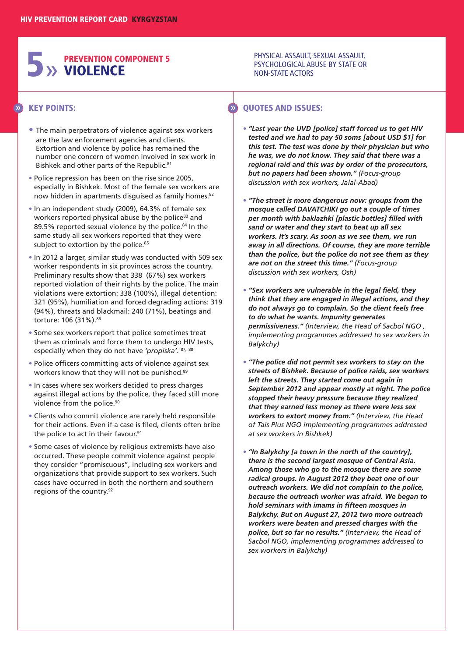# **5**» **PREVENTION COMPONENT 5 VIOLENCE**

## **KEY POINTS:** » »

- **•** The main perpetrators of violence against sex workers are the law enforcement agencies and clients. Extortion and violence by police has remained the number one concern of women involved in sex work in Bishkek and other parts of the Republic. 81
- **•** Police repression has been on the rise since 2005, especially in Bishkek. Most of the female sex workers are now hidden in apartments disguised as family homes.<sup>82</sup>
- **•** In an independent study (2009), 64.3% of female sex workers reported physical abuse by the police<sup>83</sup> and 89.5% reported sexual violence by the police. <sup>84</sup> In the same study all sex workers reported that they were subject to extortion by the police. 85
- **•** In 2012 a larger, similar study was conducted with 509 sex worker respondents in six provinces across the country. Preliminary results show that 338 (67%) sex workers reported violation of their rights by the police. The main violations were extortion: 338 (100%), illegal detention: 321 (95%), humiliation and forced degrading actions: 319 (94%), threats and blackmail: 240 (71%), beatings and torture: 106 (31%). 86
- **•** Some sex workers report that police sometimes treat them as criminals and force them to undergo HIV tests, especially when they do not have *'propiska'*. 87, <sup>88</sup>
- **•** Police officers committing acts of violence against sex workers know that they will not be punished.<sup>89</sup>
- **•** In cases where sex workers decided to press charges against illegal actions by the police, they faced still more violence from the police. 90
- **•** Clients who commit violence are rarely held responsible for their actions. Even if a case is filed, clients often bribe the police to act in their favour. 91
- **•** Some cases of violence by religious extremists have also occurred. These people commit violence against people they consider "promiscuous", including sex workers and organizations that provide support to sex workers. Such cases have occurred in both the northern and southern regions of the country. 92

#### PHYSICAL ASSAULT, SEXUAL ASSAULT, PSYCHOLOGICAL ABUSE BY STATE OR NON-STATE ACTORS

- **•** *"Last year the UVD [police] staff forced us to get HIV tested and we had to pay 50 soms [about USD \$1] for this test. The test was done by their physician but who he was, we do not know. They said that there was a regional raid and this was by order of the prosecutors, but no papers had been shown." (Focus-group discussion with sex workers, Jalal-Abad)*
- **•** *"The street is more dangerous now: groups from the mosque called DAVATCHIKI go out a couple of times per month with baklazhki [plastic bottles] filled with sand or water and they start to beat up all sex workers. It's scary. As soon as we see them, we run away in all directions. Of course, they are more terrible than the police, but the police do not see them as they are not on the street this time." (Focus-group discussion with sex workers, Osh)*
- **•** *"Sex workers are vulnerable in the legal field, they think that they are engaged in illegal actions, and they do not always go to complain. So the client feels free to do what he wants. Impunity generates permissiveness." (Interview, the Head of Sacbol NGO , implementing programmes addressed to sex workers in Balykchy)*
- **•** *"The police did not permit sex workers to stay on the streets of Bishkek. Because of police raids, sex workers left the streets. They started come out again in September 2012 and appear mostly at night. The police stopped their heavy pressure because they realized that they earned less money as there were less sex workers to extort money from." (Interview, the Head of Tais Plus NGO implementing programmes addressed at sex workers in Bishkek)*
- **•** *"In Balykchy [a town in the north of the country], there is the second largest mosque of Central Asia. Among those who go to the mosque there are some radical groups. In August 2012 they beat one of our outreach workers. We did not complain to the police, because the outreach worker was afraid. We began to hold seminars with imams in fifteen mosques in Balykchy. But on August 27, 2012 two more outreach workers were beaten and pressed charges with the police, but so far no results." (Interview, the Head of Sacbol NGO, implementing programmes addressed to sex workers in Balykchy)*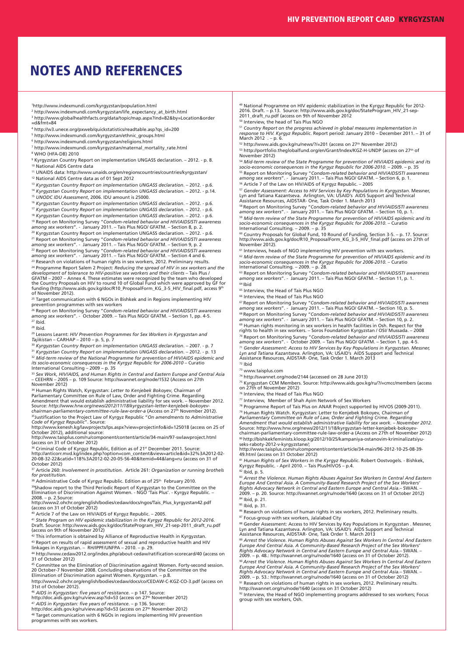## **NOTES AND REFERENCES**

1http://www.indexmundi.com/kyrgyzstan/population.html

- <sup>2</sup> http://www.indexmundi.com/kyrgyzstan/life\_expectancy\_at\_birth.html <sup>3</sup> http://www.globalhealthfacts.org/data/topic/map.aspx?ind=82&by=Location&order =d&fmt=84
- <sup>4</sup> http://w3.unece.org/pxweb/quickstatistics/readtable.asp?qs\_id=200
- <sup>5</sup> http://www.indexmundi.com/kyrgyzstan/ethnic\_groups.html
- <sup>6</sup> http://www.indexmundi.com/kyrgyzstan/religions.html
- <sup>7</sup> http://www.indexmundi.com/kyrgyzstan/maternal\_mortality\_rate.html <sup>8</sup> WHO (HFA-DB) 2010

<sup>9</sup> Kyrgyzstan Country Report on implementation UNGASS declaration. – 2012. - p. 8. <sup>10</sup> National AIDS Centre data

<sup>11</sup> UNAIDS data: http://www.unaids.org/en/regionscountries/countries/kyrgyzstan/

<sup>12</sup> National AIDS Centre data as of 01 Sept 2012

<sup>13</sup> *Kyrgyzstan Country Report on implementation UNGASS declaration*. – 2012. - p.6. <sup>14</sup> *Kyrgyzstan Country Report on implementation UNGASS declaration*. – 2012. - p.14.

<sup>15</sup> *UNODC IDU Assessment*, 2006. IDU amount is 25000.

<sup>16</sup> *Kyrgyzstan Country Report on implementation UNGASS declaration*. – 2012. - p.6.

<sup>17</sup> *Kyrgyzstan Country Report on implementation UNGASS declaration*. – 2012. - p.6.

18 Kyrgyzstan Country Report on implementation UNGASS declaration. – 2012. - p.6.<br>19 Report on Monitoring Survey "Condom-related behavior and HIV/AIDS/ST1 awareness<br>among sex workers". - January 2011. – Tais Plus NGO/ GFA

<sup>20</sup> Kyrgyzstan Country Report on implementation UNGASS declaration. – 2012. - p.6.<br><sup>21</sup> Report on Monitoring Survey "Co*ndom-related behavior and HIVIAIDSISTI awareness<br>among sex workers". - January 2011. – Tais Plus NGO/* 

<sup>23</sup> Research on violations of human rights in sex workers, 2012. Preliminary results. <sup>24</sup> Programme Report Salem 2 Project: *Reducing the spread of HIV in sex workers and the development of tolerance to HIV-positive sex workers and their clients – Tais Plus /<br>GFATM – 2007 – Annex 4. These estimates were re* 

<sup>25</sup> Target communication with 6 NGOs in Bishkek and in Regions implementing HIV prevention programmes with sex workers

<sup>26</sup> Report on Monitoring Survey "*Condom-related behavior and HIV/AIDS/STI awareness among sex workers*". - October 2009. – Tais Plus NGO/ GFATM. – Section 1, pp. 4-5.  $27$  Ibid.

<sup>28</sup> Ibid.

<sup>29</sup> Lessons Learnt: *HIV Prevention Programmes for Sex Workers in Kyrgyzstan and Tajikistan* – CARHAP – 2010 – p. 5, p. 7

<sup>30</sup> *Kyrgyzstan Country Report on implementation UNGASS declaration*. – 2007. - p. 7

<sup>31</sup> *Kyrgyzstan Country Report on implementation UNGASS declaration*. – 2012. - p. 13

<sup>32</sup> Mid-term review of the National Programme for prevention of HIV/AIDS epidemic and<br>its socio-economic consequences in the Kyrgyz Republic for 2006-2010 – Curatio<br>International Consulting – 2009 – p. 35<br><sup>33</sup> Sex Work, H

– CEEHRN – 2005 – p. 109 Source: http://swannet.org/node/1532 (Access on 27th November 2012)

34 Human Rights Watch, Kyrgyzstan: *Letter to Kenjebek Bokoyev*, Chairman of<br>Parliamentary Committee on Rule of Law, Order and Fighting Crime. Regarding<br>Amendment that would establish administrative liability for sex work. Source: *http://www.hrw.org/news/2012/11/18/kyrgyzstan-letter-kenjebek-bokoyev-chairman-parliamentary-committee-rule-law-order-a* (Access on 27th November 2012).

<sup>35</sup>Justification to the Project Law of Kyrgyz Republic "*On amendments to Administrative*<br>Co*de of Kyrgyz Republic*". Source:<br>http://www.kenesh.kg/lawprojects/lps.aspx?view=projectinfo&id=125018 (access on 25 of

October 2012), additional source:

http://www.taisplus.com/ru/component/content/article/34-main/97-swlawproject.html (access on 31 of October 2012) <sup>36</sup> Criminal Code of Kyrgyz Republic, Edition as of 21<sup>st</sup> December 2011. Source

http://anticorr.mvd.kg/index.php?option=com\_content&view=article&id=32%3A2012-02- 20-08-32-22&catid=118%3A2012-02-20-05-56-40&Itemid=44&lang=ru (access on 31 of October 2012)

<sup>37</sup> Article 260: *Involvement in prostitution*. Article 261: *Organization or running brothels for prostitution*.

38 Administrative Code of Kyrgyz Republic. Edition as of 25<sup>th</sup> February 2010.

<sup>39</sup>Shadow report to the Third Periodic Report of Kyrgyzstan to the Committee on the<br>Elimination of Discrimination Against Women. - NGO 'Tais Plus'. - Kyrgyz Republic. –

2008. – p. 2.Source: http://www2.ohchr.org/english/bodies/cedaw/docs/ngos/Tais\_Plus\_kyrgyzstan42.pdf (access on 31 of October 2012)

<sup>40</sup> Article 7 of the Law on HIV/AIDS of Kyrgyz Republic. – 2005.

41 State Program on HIV epidemic stabilization in the Kyrgyz Republic for 2012-2016.<br>Draft. Source: http://www.aids.gov.kg/doc/StateProgram\_HIV\_21-sep-2011\_draft\_ru.pdf<br>(access on 9th of November 2012)

<sup>42</sup> This information is obtained by Alliance of Reproductive Health in Kyrgyzstan. <sup>43</sup> Report on results of rapid assessment of sexual and reproductive health and HIV<br>linkages in Kyrgyzstan. – RH/IPPF/UNFPA – 2010. – p. 29.

<sup>44</sup> http://www.cedaw2012.org/index.php/about-cedaw/ratification-scorecard/40 (access on<br>31 of October 2012) 45 Committee on the Elimination of Discrimination against Women. Forty-second session.

20 October-7 November 2008. Concluding observations of the Committee on the Elimination of Discrimination against Women. Kyrgyzstan. – p.8.

http://www2.ohchr.org/english/bodies/cedaw/docs/co/CEDAW-C-KGZ-CO-3.pdf (access on 31st of October 2012).

<sup>46</sup> *AIDS in Kyrgyzstan: five years of resistance*. – p 147. Source: http://doc.aids.gov.kg/ru/view.asp?id=53 (access on 27th November 2012)

<sup>47</sup> *AIDS in Kyrgyzstan: five years of resistance*. – p 136. Source: http://doc.aids.gov.kg/ru/view.asp?id=53 (access on 27th November 2012)

<sup>48</sup> Target communication with 6 NGOs in regions implementing HIV prevention<br>programmes with sex workers.

<sup>49</sup> National Programme on HIV epidemic stabilization in the Kyrgyz Republic for 2012- 2016. Draft. – p.13. Source: http://www.aids.gov.kg/doc/StateProgram\_HIV\_21-sep-2011\_draft\_ru.pdf (access on 9th of November 2012 <sup>50</sup> Interview, the head of Tais Plus NGO

<sup>51</sup> Country Report on the progress achieved in global measures implementation in<br>response to HIV. Kyrgyz Republic. Report period: January 2010 – December 2011. – 31 of<br>March 2012 . – p. 6.

<sup>52</sup> http://www.aids.gov.kg/ru/news/?/=201 (access on 27th November 2012)

<sup>53</sup> http://portfolio.theglobalfund.org/en/Grant/Index/KGZ-H-UNDP (access on 27th of November 2012)

54 Mid-term review of the State Programme for prevention of HIV/AIDS epidemic and its<br>socio-economic consequences in the Kyrgyz Republic for 2006-2010. – 2009. – p. 35 <sup>55</sup> Report on Monitoring Survey "*Condom-related behavior and HIV/AIDS/STI awareness among sex workers*". - January 2011. – Tais Plus NGO/ GFATM. – Section 6, p. 1. <sup>56</sup> Article 7 of the Law on HIV/AIDS of Kyrgyz Republic. – 2005

<sup>57</sup> Gender Assessment: Access to HIV Services by Key Populations in Kyrgyzstan. Messner,<br>Lyn and Tatiana Kazantseva. Arlington, VA: USAID's AIDS Support and Technical<br>Assistance Resources, AIDSTAR- One, Task Order 1. Ma

<sup>58</sup> Report on Monitoring Survey "*Condom-related behavior and HIV/AIDS/STI awareness among sex workers*". - January 2011. – Tais Plus NGO/ GFATM. – Section 10, p. 1. <sup>59</sup> Mid-term review of the State Programme for prevention of HIV/AIDS epidemic and its<br>socio-economic consequences in the Kyrgyz Republic for 2006-2010. – Curatio<br>International Consulting. – 2009. – p. 35

60 Country Proposals for Global Fund, 10 Round of Funding, Section 3-5. – p. 17. Source:<br>http://www.aids.gov.kg/doc/R10\_ProposalForm\_KG\_3-5\_HIV\_final.pdf (access on 27th of November 2012).

<sup>61</sup> Interviews, heads of NGO implementing HIV prevention with sex workers. <sup>62</sup> *Mid-term review of the State Programme for prevention of HIV/AIDS epidemic and its*

socio-economic consequences in the Kyrgyz Republic for 2006-2010. – Curatio<br>International Consulting. – 2009. – p. 28.<br><sup>63</sup> Report on Monitoring Survey "Condom-related behavior and HIV/AIDS/STI awareness<br>among sex workers"  $64$  Ibid

<sup>65</sup> Interview, the Head of Tais Plus NGO

<sup>66</sup> Interview, the Head of Tais Plus NGO

 $^{67}$  Report on Monitoring Survey "Condom-related behavior and HIV/AIDS/STI awareness<br>among sex workers". - January 2011. – Tais Plus NGO/ GFATM. – Section 10, p. 5.<br> $^{68}$  Report on Monitoring Survey "Condom-related beh

<sup>70</sup> Report on Monitoring Survey "*Condom-related behavior and HIV/AIDS/STI awareness among sex workers*". - October 2009. – Tais Plus NGO/ GFATM. – Section 1, pp. 4-5. <sup>71</sup> Gender Assessment: Access to HIV Services by Key Populations in Kyrgyzstan. Messner,<br>Lyn and Tatiana Kazantseva. Arlington, VA: USAID's AIDS Support and Technical<br>Assistance Resources, AIDSTAR- One, Task Order 1. Mar

 $72$  Ibid

<sup>73</sup> www.taisplus.com

<sup>74</sup> http://swannet.org/node/2144 (accessed on 28 June 2013)

<sup>75</sup> Kyrgyzstan CCM Members. Source: http://www.aids.gov.kg/ru/?/=cmcc/members (access<br>on 27th of November 2012)

<sup>76</sup> Interview, the Head of Tais Plus NGO

<sup>77</sup> Interview, Member of Shah Ayim Network of Sex Workers

<sup>78</sup> Programme Report of Tais Plus on ANAR Project supported by HIVOS (2009-2011).

<sup>79</sup> Human Rights Watch. Kyrgyzstan: Letter to Kenjebek Bokoyev, *Chairman of<br>Parliamentary Committee on Rule of Law, Order and Fighting Crime. Regarding<br>Amendment that would establish administrative liability for sex work* 

® http://bishkekfeminists.kloop.kg/2012/10/25/kampaniya-ostanovim-kriminalizatsiyu-<br>seks-raboty-2012-v-kyrgyzstane/;<br>http://www.taisplus.com/ru/component/content/article/34-main/96-2012-10-25-08-39-

49.html (access on 31 October 2012)<br>®1 Human Rights of Sex Workers in the Kyrgyz Republic. Robert Oostvogels. - Bishkek,<br>Kyrgyz Republic. - April 2010. – Tais Plus/HIVOS – p.4.

 $82$  Ibid, p. 5.

<sup>83</sup> *Arrest the Violence. Human Rights Abuses Against Sex Workers In Central And Eastern* Europe And Central Asia. A Community-Based Research Project of the Sex Workers'<br>Rights Advocacy Network in Central and Eastern Europe and Central Asia.– SWAN. –<br>2009. – p. 20. Source: http://swannet.org/ru/node/1640 (acces <sup>84</sup> Ibid, p. 21.

<sup>85</sup> Ibid, p. 31.

86 Research on violations of human rights in sex workers, 2012. Preliminary results. 87 Focus-group with sex workers, Jalalabad City

® Gender Assessment: Access to HIV Services by Key Populations in Kyrgyzstan . Messner,<br>Lyn and Tatiana Kazantseva. Arlington, VA: USAID's AIDS Support and Technical<br>Assistance Resources, AIDSTAR- One, Task Order 1. Marc

<sup>89</sup> Arrest the Violence. Human Rights Abuses Against Sex Workers In Central And Eastern<br>Europe And Central Asia. A Community-Based Research Project of the Sex Workers'<br>Rights Advocacy Network in Central and Eastern Europe

<sup>90</sup> Arrest the Violence. Human Rights Abuses Against Sex Workers In Central And Eastern<br>Europe And Central Asia. A Community-Based Research Project of the Sex Workers'<br>Rights Advocacy Network in Central and Eastern Europe

<sup>91</sup> Research on violations of human rights in sex workers, 2012. Preliminary results. http://swannet.org/ru/node/1640 (access on 31 October 2012) 92 Interview, the Head of NGO implementing programs addressed to sex workers; Focus

group with sex workers, Osh.